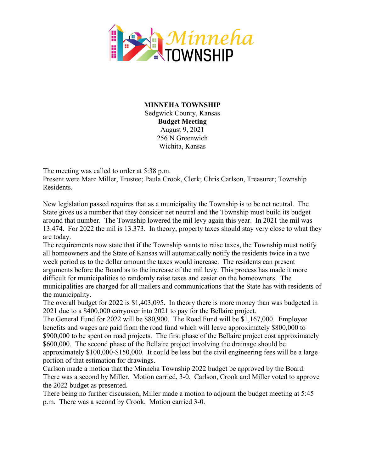

**MINNEHA TOWNSHIP** Sedgwick County, Kansas **Budget Meeting** August 9, 2021 256 N Greenwich Wichita, Kansas

The meeting was called to order at 5:38 p.m.

Present were Marc Miller, Trustee; Paula Crook, Clerk; Chris Carlson, Treasurer; Township Residents.

New legislation passed requires that as a municipality the Township is to be net neutral. The State gives us a number that they consider net neutral and the Township must build its budget around that number. The Township lowered the mil levy again this year. In 2021 the mil was 13.474. For 2022 the mil is 13.373. In theory, property taxes should stay very close to what they are today.

The requirements now state that if the Township wants to raise taxes, the Township must notify all homeowners and the State of Kansas will automatically notify the residents twice in a two week period as to the dollar amount the taxes would increase. The residents can present arguments before the Board as to the increase of the mil levy. This process has made it more difficult for municipalities to randomly raise taxes and easier on the homeowners. The municipalities are charged for all mailers and communications that the State has with residents of the municipality.

The overall budget for 2022 is \$1,403,095. In theory there is more money than was budgeted in 2021 due to a \$400,000 carryover into 2021 to pay for the Bellaire project.

The General Fund for 2022 will be \$80,900. The Road Fund will be \$1,167,000. Employee benefits and wages are paid from the road fund which will leave approximately \$800,000 to \$900,000 to be spent on road projects. The first phase of the Bellaire project cost approximately \$600,000. The second phase of the Bellaire project involving the drainage should be approximately \$100,000-\$150,000. It could be less but the civil engineering fees will be a large portion of that estimation for drawings.

Carlson made a motion that the Minneha Township 2022 budget be approved by the Board. There was a second by Miller. Motion carried, 3-0. Carlson, Crook and Miller voted to approve the 2022 budget as presented.

There being no further discussion, Miller made a motion to adjourn the budget meeting at 5:45 p.m. There was a second by Crook. Motion carried 3-0.